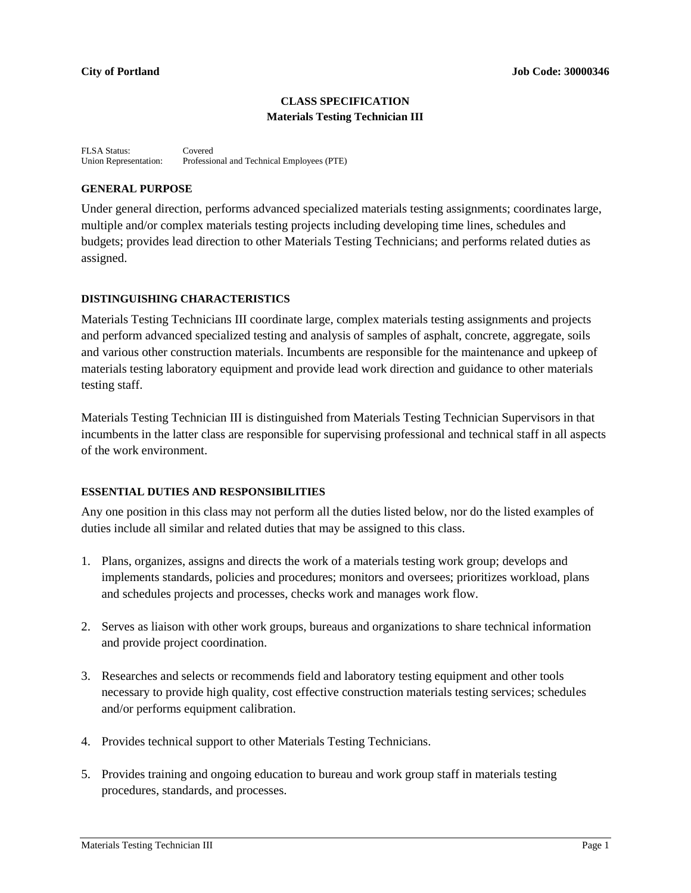#### **CLASS SPECIFICATION Materials Testing Technician III**

FLSA Status: Covered<br>Union Representation: Professie Professional and Technical Employees (PTE)

#### **GENERAL PURPOSE**

Under general direction, performs advanced specialized materials testing assignments; coordinates large, multiple and/or complex materials testing projects including developing time lines, schedules and budgets; provides lead direction to other Materials Testing Technicians; and performs related duties as assigned.

#### **DISTINGUISHING CHARACTERISTICS**

Materials Testing Technicians III coordinate large, complex materials testing assignments and projects and perform advanced specialized testing and analysis of samples of asphalt, concrete, aggregate, soils and various other construction materials. Incumbents are responsible for the maintenance and upkeep of materials testing laboratory equipment and provide lead work direction and guidance to other materials testing staff.

Materials Testing Technician III is distinguished from Materials Testing Technician Supervisors in that incumbents in the latter class are responsible for supervising professional and technical staff in all aspects of the work environment.

#### **ESSENTIAL DUTIES AND RESPONSIBILITIES**

Any one position in this class may not perform all the duties listed below, nor do the listed examples of duties include all similar and related duties that may be assigned to this class.

- 1. Plans, organizes, assigns and directs the work of a materials testing work group; develops and implements standards, policies and procedures; monitors and oversees; prioritizes workload, plans and schedules projects and processes, checks work and manages work flow.
- 2. Serves as liaison with other work groups, bureaus and organizations to share technical information and provide project coordination.
- 3. Researches and selects or recommends field and laboratory testing equipment and other tools necessary to provide high quality, cost effective construction materials testing services; schedules and/or performs equipment calibration.
- 4. Provides technical support to other Materials Testing Technicians.
- 5. Provides training and ongoing education to bureau and work group staff in materials testing procedures, standards, and processes.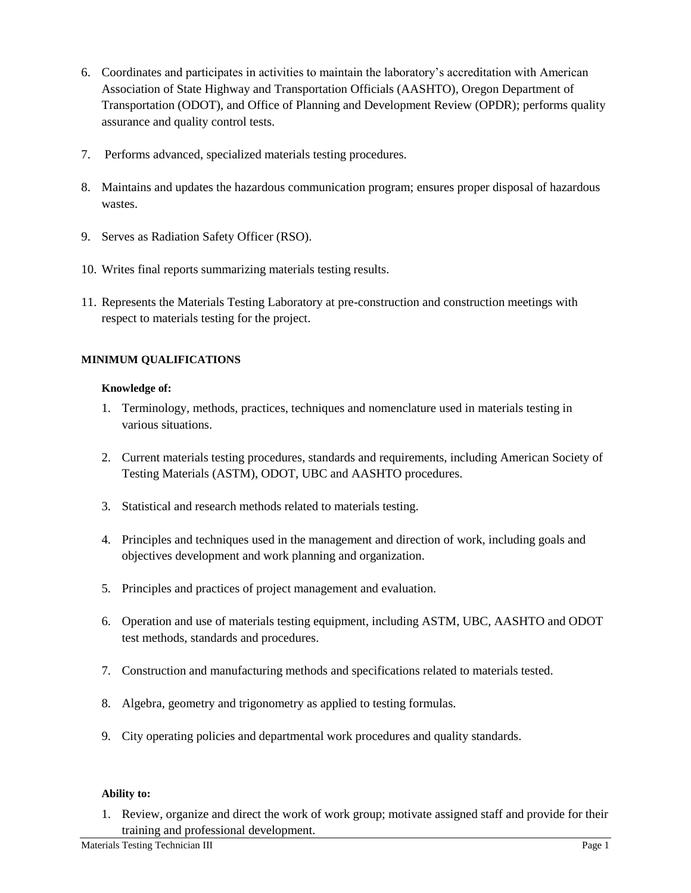- 6. Coordinates and participates in activities to maintain the laboratory's accreditation with American Association of State Highway and Transportation Officials (AASHTO), Oregon Department of Transportation (ODOT), and Office of Planning and Development Review (OPDR); performs quality assurance and quality control tests.
- 7. Performs advanced, specialized materials testing procedures.
- 8. Maintains and updates the hazardous communication program; ensures proper disposal of hazardous wastes.
- 9. Serves as Radiation Safety Officer (RSO).
- 10. Writes final reports summarizing materials testing results.
- 11. Represents the Materials Testing Laboratory at pre-construction and construction meetings with respect to materials testing for the project.

## **MINIMUM QUALIFICATIONS**

#### **Knowledge of:**

- 1. Terminology, methods, practices, techniques and nomenclature used in materials testing in various situations.
- 2. Current materials testing procedures, standards and requirements, including American Society of Testing Materials (ASTM), ODOT, UBC and AASHTO procedures.
- 3. Statistical and research methods related to materials testing.
- 4. Principles and techniques used in the management and direction of work, including goals and objectives development and work planning and organization.
- 5. Principles and practices of project management and evaluation.
- 6. Operation and use of materials testing equipment, including ASTM, UBC, AASHTO and ODOT test methods, standards and procedures.
- 7. Construction and manufacturing methods and specifications related to materials tested.
- 8. Algebra, geometry and trigonometry as applied to testing formulas.
- 9. City operating policies and departmental work procedures and quality standards.

#### **Ability to:**

1. Review, organize and direct the work of work group; motivate assigned staff and provide for their training and professional development.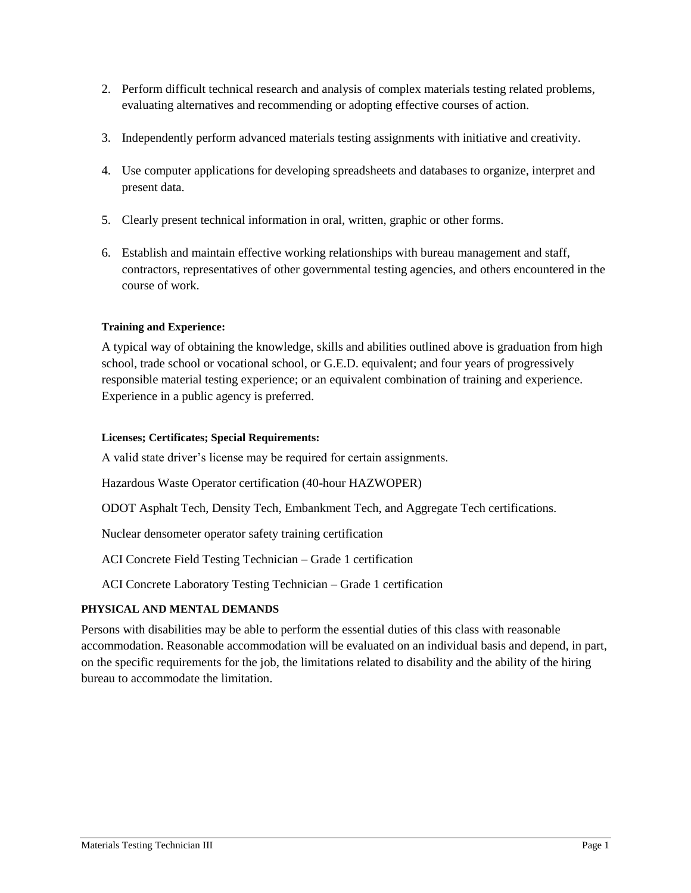- 2. Perform difficult technical research and analysis of complex materials testing related problems, evaluating alternatives and recommending or adopting effective courses of action.
- 3. Independently perform advanced materials testing assignments with initiative and creativity.
- 4. Use computer applications for developing spreadsheets and databases to organize, interpret and present data.
- 5. Clearly present technical information in oral, written, graphic or other forms.
- 6. Establish and maintain effective working relationships with bureau management and staff, contractors, representatives of other governmental testing agencies, and others encountered in the course of work.

## **Training and Experience:**

A typical way of obtaining the knowledge, skills and abilities outlined above is graduation from high school, trade school or vocational school, or G.E.D. equivalent; and four years of progressively responsible material testing experience; or an equivalent combination of training and experience. Experience in a public agency is preferred.

### **Licenses; Certificates; Special Requirements:**

A valid state driver's license may be required for certain assignments.

Hazardous Waste Operator certification (40-hour HAZWOPER)

ODOT Asphalt Tech, Density Tech, Embankment Tech, and Aggregate Tech certifications.

Nuclear densometer operator safety training certification

ACI Concrete Field Testing Technician – Grade 1 certification

ACI Concrete Laboratory Testing Technician – Grade 1 certification

#### **PHYSICAL AND MENTAL DEMANDS**

Persons with disabilities may be able to perform the essential duties of this class with reasonable accommodation. Reasonable accommodation will be evaluated on an individual basis and depend, in part, on the specific requirements for the job, the limitations related to disability and the ability of the hiring bureau to accommodate the limitation.